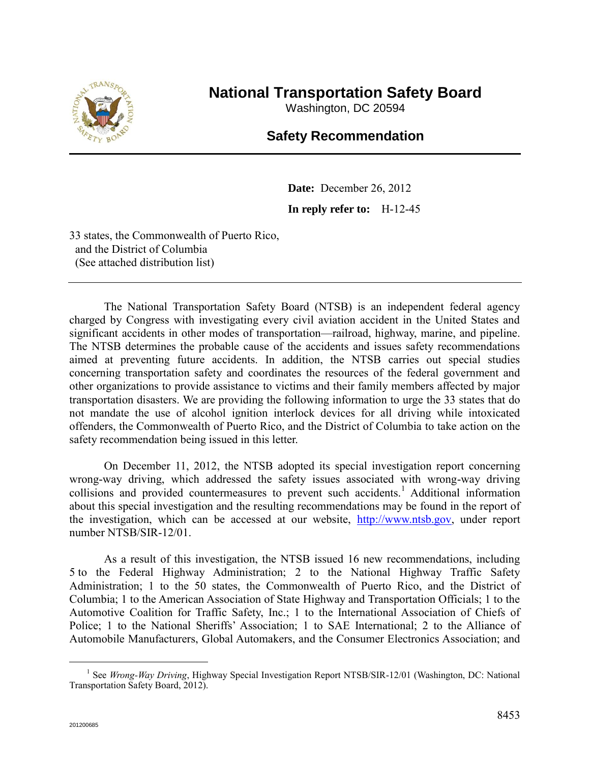

## **National Transportation Safety Board**

Washington, DC 20594

## **Safety Recommendation**

**Date:** December 26, 2012 **In reply refer to:** H-12-45

33 states, the Commonwealth of Puerto Rico, and the District of Columbia (See attached distribution list)

The National Transportation Safety Board (NTSB) is an independent federal agency charged by Congress with investigating every civil aviation accident in the United States and significant accidents in other modes of transportation—railroad, highway, marine, and pipeline. The NTSB determines the probable cause of the accidents and issues safety recommendations aimed at preventing future accidents. In addition, the NTSB carries out special studies concerning transportation safety and coordinates the resources of the federal government and other organizations to provide assistance to victims and their family members affected by major transportation disasters. We are providing the following information to urge the 33 states that do not mandate the use of alcohol ignition interlock devices for all driving while intoxicated offenders, the Commonwealth of Puerto Rico, and the District of Columbia to take action on the safety recommendation being issued in this letter.

On December 11, 2012, the NTSB adopted its special investigation report concerning wrong-way driving, which addressed the safety issues associated with wrong-way driving collisions and provided countermeasures to prevent such accidents.<sup>1</sup> Additional information about this special investigation and the resulting recommendations may be found in the report of the investigation, which can be accessed at our website, [http://www.ntsb.gov,](http://www.ntsb.gov/) under report number NTSB/SIR-12/01.

As a result of this investigation, the NTSB issued 16 new recommendations, including 5 to the Federal Highway Administration; 2 to the National Highway Traffic Safety Administration; 1 to the 50 states, the Commonwealth of Puerto Rico, and the District of Columbia; 1 to the American Association of State Highway and Transportation Officials; 1 to the Automotive Coalition for Traffic Safety, Inc.; 1 to the International Association of Chiefs of Police; 1 to the National Sheriffs' Association; 1 to SAE International; 2 to the Alliance of Automobile Manufacturers, Global Automakers, and the Consumer Electronics Association; and

 $\overline{a}$ 

<sup>&</sup>lt;sup>1</sup> See *Wrong-Way Driving*, Highway Special Investigation Report NTSB/SIR-12/01 (Washington, DC: National Transportation Safety Board, 2012).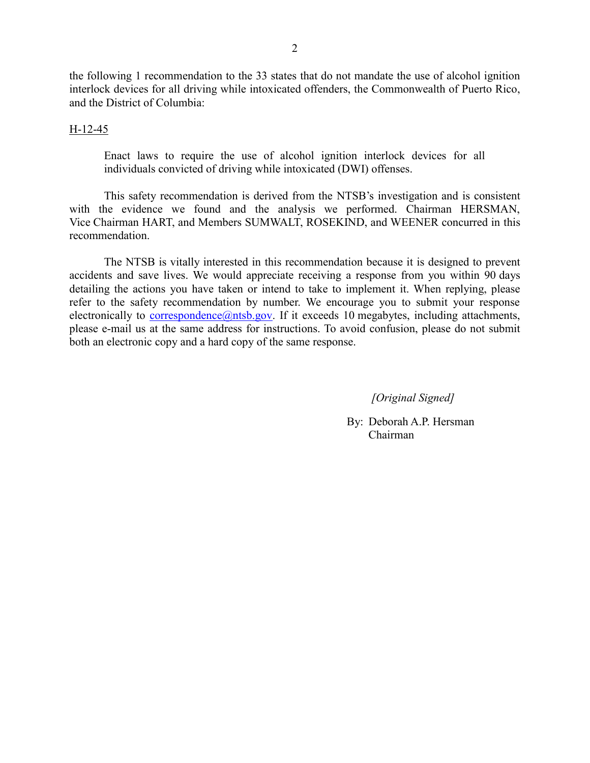the following 1 recommendation to the 33 states that do not mandate the use of alcohol ignition interlock devices for all driving while intoxicated offenders, the Commonwealth of Puerto Rico, and the District of Columbia:

## H-12-45

Enact laws to require the use of alcohol ignition interlock devices for all individuals convicted of driving while intoxicated (DWI) offenses.

This safety recommendation is derived from the NTSB's investigation and is consistent with the evidence we found and the analysis we performed. Chairman HERSMAN, Vice Chairman HART, and Members SUMWALT, ROSEKIND, and WEENER concurred in this recommendation.

The NTSB is vitally interested in this recommendation because it is designed to prevent accidents and save lives. We would appreciate receiving a response from you within 90 days detailing the actions you have taken or intend to take to implement it. When replying, please refer to the safety recommendation by number. We encourage you to submit your response electronically to correspondence $@n$ tsb.gov. If it exceeds 10 megabytes, including attachments, please e-mail us at the same address for instructions. To avoid confusion, please do not submit both an electronic copy and a hard copy of the same response.

*[Original Signed]*

By: Deborah A.P. Hersman Chairman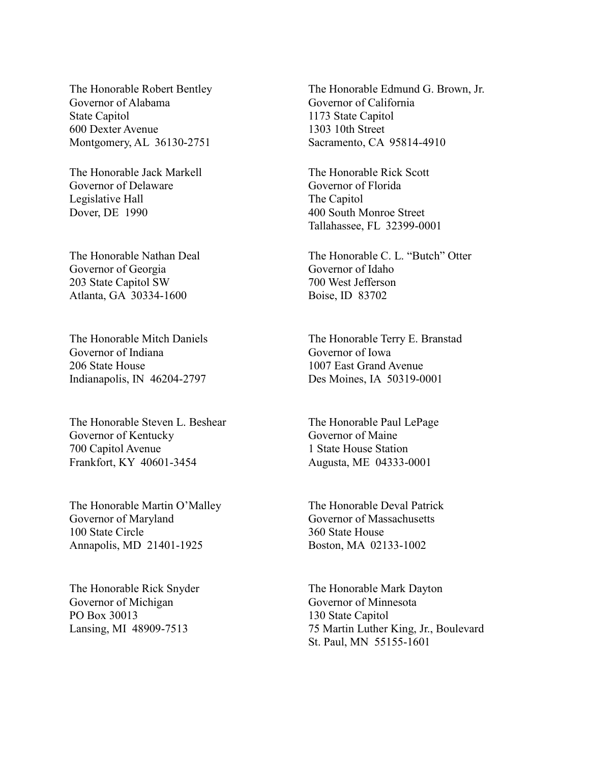The Honorable Robert Bentley Governor of Alabama State Capitol 600 Dexter Avenue Montgomery, AL 36130-2751

The Honorable Jack Markell Governor of Delaware Legislative Hall Dover, DE 1990

The Honorable Nathan Deal Governor of Georgia 203 State Capitol SW Atlanta, GA 30334-1600

The Honorable Mitch Daniels Governor of Indiana 206 State House Indianapolis, IN 46204-2797

The Honorable Steven L. Beshear Governor of Kentucky 700 Capitol Avenue Frankfort, KY 40601-3454

The Honorable Martin O'Malley Governor of Maryland 100 State Circle Annapolis, MD 21401-1925

The Honorable Rick Snyder Governor of Michigan PO Box 30013 Lansing, MI 48909-7513

The Honorable Edmund G. Brown, Jr. Governor of California 1173 State Capitol 1303 10th Street Sacramento, CA 95814-4910

The Honorable Rick Scott Governor of Florida The Capitol 400 South Monroe Street Tallahassee, FL 32399-0001

The Honorable C. L. "Butch" Otter Governor of Idaho 700 West Jefferson Boise, ID 83702

The Honorable Terry E. Branstad Governor of Iowa 1007 East Grand Avenue Des Moines, IA 50319-0001

The Honorable Paul LePage Governor of Maine 1 State House Station Augusta, ME 04333-0001

The Honorable Deval Patrick Governor of Massachusetts 360 State House Boston, MA 02133-1002

The Honorable Mark Dayton Governor of Minnesota 130 State Capitol 75 Martin Luther King, Jr., Boulevard St. Paul, MN 55155-1601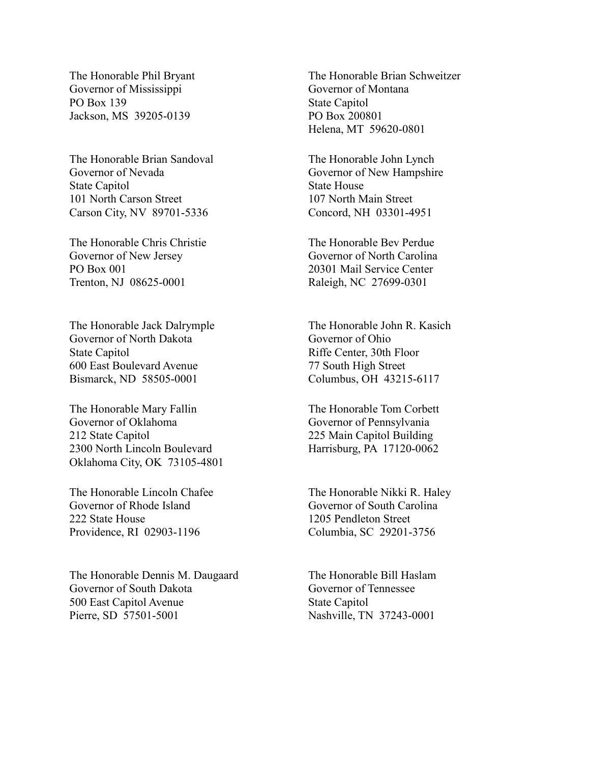The Honorable Phil Bryant Governor of Mississippi PO Box 139 Jackson, MS 39205-0139

The Honorable Brian Sandoval Governor of Nevada State Capitol 101 North Carson Street Carson City, NV 89701-5336

The Honorable Chris Christie Governor of New Jersey PO Box 001 Trenton, NJ 08625-0001

The Honorable Jack Dalrymple Governor of North Dakota State Capitol 600 East Boulevard Avenue Bismarck, ND 58505-0001

The Honorable Mary Fallin Governor of Oklahoma 212 State Capitol 2300 North Lincoln Boulevard Oklahoma City, OK 73105-4801

The Honorable Lincoln Chafee Governor of Rhode Island 222 State House Providence, RI 02903-1196

The Honorable Dennis M. Daugaard Governor of South Dakota 500 East Capitol Avenue Pierre, SD 57501-5001

The Honorable Brian Schweitzer Governor of Montana State Capitol PO Box 200801 Helena, MT 59620-0801

The Honorable John Lynch Governor of New Hampshire State House 107 North Main Street Concord, NH 03301-4951

The Honorable Bev Perdue Governor of North Carolina 20301 Mail Service Center Raleigh, NC 27699-0301

The Honorable John R. Kasich Governor of Ohio Riffe Center, 30th Floor 77 South High Street Columbus, OH 43215-6117

The Honorable Tom Corbett Governor of Pennsylvania 225 Main Capitol Building Harrisburg, PA 17120-0062

The Honorable Nikki R. Haley Governor of South Carolina 1205 Pendleton Street Columbia, SC 29201-3756

The Honorable Bill Haslam Governor of Tennessee State Capitol Nashville, TN 37243-0001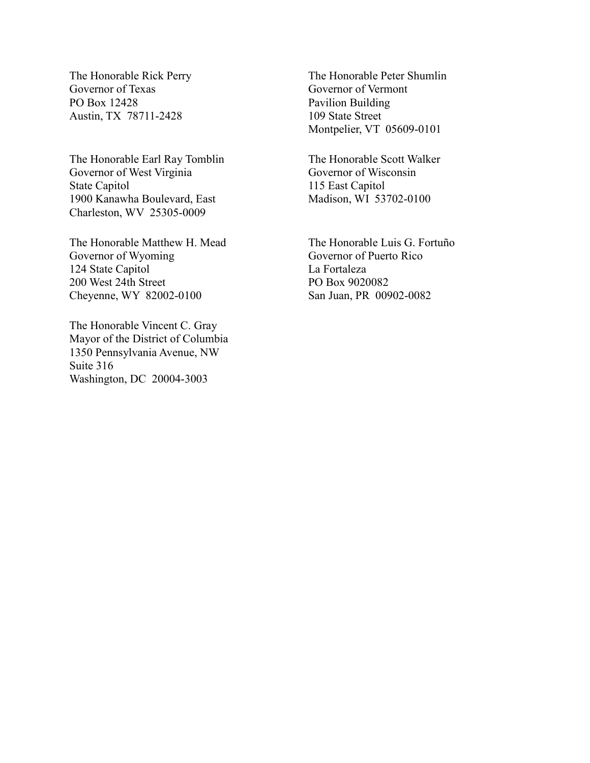The Honorable Rick Perry Governor of Texas PO Box 12428 Austin, TX 78711-2428

The Honorable Earl Ray Tomblin Governor of West Virginia State Capitol 1900 Kanawha Boulevard, East Charleston, WV 25305-0009

The Honorable Matthew H. Mead Governor of Wyoming 124 State Capitol 200 West 24th Street Cheyenne, WY 82002-0100

The Honorable Vincent C. Gray Mayor of the District of Columbia 1350 Pennsylvania Avenue, NW Suite 316 Washington, DC 20004-3003

The Honorable Peter Shumlin Governor of Vermont Pavilion Building 109 State Street Montpelier, VT 05609-0101

The Honorable Scott Walker Governor of Wisconsin 115 East Capitol Madison, WI 53702-0100

The Honorable Luis G. Fortuño Governor of Puerto Rico La Fortaleza PO Box 9020082 San Juan, PR 00902-0082